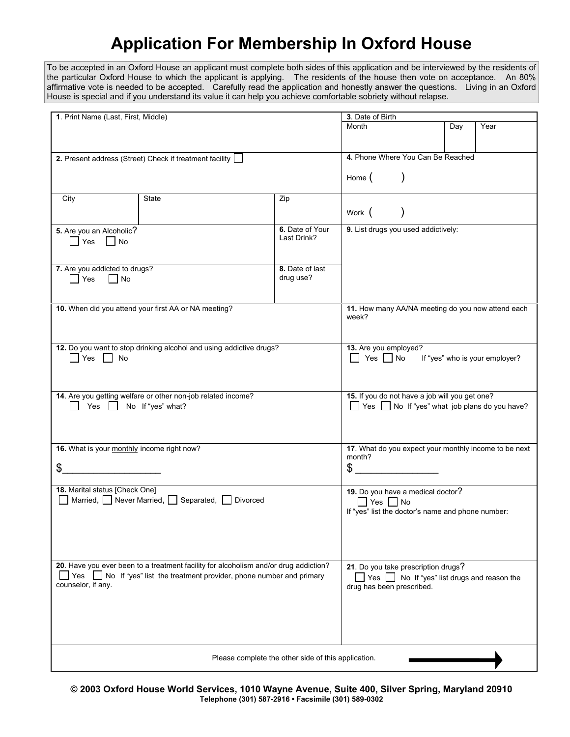## **Application For Membership In Oxford House**

To be accepted in an Oxford House an applicant must complete both sides of this application and be interviewed by the residents of the particular Oxford House to which the applicant is applying. The residents of the house then vote on acceptance. An 80% affirmative vote is needed to be accepted. Carefully read the application and honestly answer the questions. Living in an Oxford House is special and if you understand its value it can help you achieve comfortable sobriety without relapse.

| 1. Print Name (Last, First, Middle)                                                  |                                                                           |                                   | 3. Date of Birth                                                             |                                                |      |                                |
|--------------------------------------------------------------------------------------|---------------------------------------------------------------------------|-----------------------------------|------------------------------------------------------------------------------|------------------------------------------------|------|--------------------------------|
|                                                                                      |                                                                           | Month                             |                                                                              | Day                                            | Year |                                |
|                                                                                      |                                                                           |                                   |                                                                              |                                                |      |                                |
|                                                                                      |                                                                           |                                   |                                                                              |                                                |      |                                |
|                                                                                      |                                                                           |                                   |                                                                              |                                                |      |                                |
| 2. Present address (Street) Check if treatment facility [                            |                                                                           |                                   | 4. Phone Where You Can Be Reached                                            |                                                |      |                                |
|                                                                                      |                                                                           |                                   |                                                                              |                                                |      |                                |
|                                                                                      |                                                                           |                                   | $\lambda$<br>Home (                                                          |                                                |      |                                |
|                                                                                      |                                                                           |                                   |                                                                              |                                                |      |                                |
| State<br>City                                                                        |                                                                           | Zip                               |                                                                              |                                                |      |                                |
|                                                                                      |                                                                           |                                   |                                                                              |                                                |      |                                |
|                                                                                      |                                                                           |                                   | Work (                                                                       | $\lambda$                                      |      |                                |
| 6. Date of Your<br>5. Are you an Alcoholic?                                          |                                                                           |                                   |                                                                              | 9. List drugs you used addictively:            |      |                                |
|                                                                                      |                                                                           | Last Drink?                       |                                                                              |                                                |      |                                |
| Yes<br>$\vert$   No                                                                  |                                                                           |                                   |                                                                              |                                                |      |                                |
|                                                                                      |                                                                           |                                   |                                                                              |                                                |      |                                |
|                                                                                      |                                                                           |                                   |                                                                              |                                                |      |                                |
| 7. Are you addicted to drugs?                                                        |                                                                           | 8. Date of last                   |                                                                              |                                                |      |                                |
| $\Box$ Yes<br>$\vert$ No                                                             |                                                                           | drug use?                         |                                                                              |                                                |      |                                |
|                                                                                      |                                                                           |                                   |                                                                              |                                                |      |                                |
|                                                                                      |                                                                           |                                   |                                                                              |                                                |      |                                |
| 10. When did you attend your first AA or NA meeting?                                 |                                                                           |                                   | 11. How many AA/NA meeting do you now attend each                            |                                                |      |                                |
|                                                                                      |                                                                           |                                   | week?                                                                        |                                                |      |                                |
|                                                                                      |                                                                           |                                   |                                                                              |                                                |      |                                |
|                                                                                      |                                                                           |                                   |                                                                              |                                                |      |                                |
| 12. Do you want to stop drinking alcohol and using addictive drugs?                  |                                                                           |                                   | 13. Are you employed?                                                        |                                                |      |                                |
| $\Box$ Yes $\Box$ No                                                                 |                                                                           |                                   | $\Box$ Yes $\Box$ No                                                         |                                                |      | If "yes" who is your employer? |
|                                                                                      |                                                                           |                                   |                                                                              |                                                |      |                                |
|                                                                                      |                                                                           |                                   |                                                                              |                                                |      |                                |
|                                                                                      |                                                                           |                                   |                                                                              |                                                |      |                                |
| 14. Are you getting welfare or other non-job related income?                         |                                                                           |                                   |                                                                              | 15. If you do not have a job will you get one? |      |                                |
| Yes No If "yes" what?                                                                |                                                                           |                                   | Yes No If "yes" what job plans do you have?                                  |                                                |      |                                |
|                                                                                      |                                                                           |                                   |                                                                              |                                                |      |                                |
|                                                                                      |                                                                           |                                   |                                                                              |                                                |      |                                |
|                                                                                      |                                                                           |                                   |                                                                              |                                                |      |                                |
|                                                                                      |                                                                           |                                   |                                                                              |                                                |      |                                |
| 16. What is your monthly income right now?                                           | 17. What do you expect your monthly income to be next                     |                                   |                                                                              |                                                |      |                                |
|                                                                                      | month?                                                                    |                                   |                                                                              |                                                |      |                                |
| \$                                                                                   | $\sim$                                                                    |                                   |                                                                              |                                                |      |                                |
|                                                                                      |                                                                           |                                   |                                                                              |                                                |      |                                |
| 18. Marital status [Check One]                                                       |                                                                           | 19. Do you have a medical doctor? |                                                                              |                                                |      |                                |
| ■ Married, BNever Married, Beparated, BDivorced                                      |                                                                           |                                   |                                                                              |                                                |      |                                |
|                                                                                      | $\Box$ Yes $\Box$ No<br>If "yes" list the doctor's name and phone number: |                                   |                                                                              |                                                |      |                                |
|                                                                                      |                                                                           |                                   |                                                                              |                                                |      |                                |
|                                                                                      |                                                                           |                                   |                                                                              |                                                |      |                                |
|                                                                                      |                                                                           |                                   |                                                                              |                                                |      |                                |
|                                                                                      |                                                                           |                                   |                                                                              |                                                |      |                                |
|                                                                                      |                                                                           |                                   |                                                                              |                                                |      |                                |
| 20. Have you ever been to a treatment facility for alcoholism and/or drug addiction? |                                                                           |                                   |                                                                              |                                                |      |                                |
| No If "yes" list the treatment provider, phone number and primary<br>Yes             |                                                                           |                                   | 21. Do you take prescription drugs?<br>No If "yes" list drugs and reason the |                                                |      |                                |
|                                                                                      |                                                                           |                                   | $ $ Yes $ $ $ $                                                              |                                                |      |                                |
| counselor, if any.                                                                   |                                                                           |                                   | drug has been prescribed.                                                    |                                                |      |                                |
|                                                                                      |                                                                           |                                   |                                                                              |                                                |      |                                |
|                                                                                      |                                                                           |                                   |                                                                              |                                                |      |                                |
|                                                                                      |                                                                           |                                   |                                                                              |                                                |      |                                |
|                                                                                      |                                                                           |                                   |                                                                              |                                                |      |                                |
|                                                                                      |                                                                           |                                   |                                                                              |                                                |      |                                |
|                                                                                      |                                                                           |                                   |                                                                              |                                                |      |                                |
| Please complete the other side of this application.                                  |                                                                           |                                   |                                                                              |                                                |      |                                |
|                                                                                      |                                                                           |                                   |                                                                              |                                                |      |                                |

**© 2003 Oxford House World Services, 1010 Wayne Avenue, Suite 400, Silver Spring, Maryland 20910 Telephone (301) 587-2916 • Facsimile (301) 589-0302**